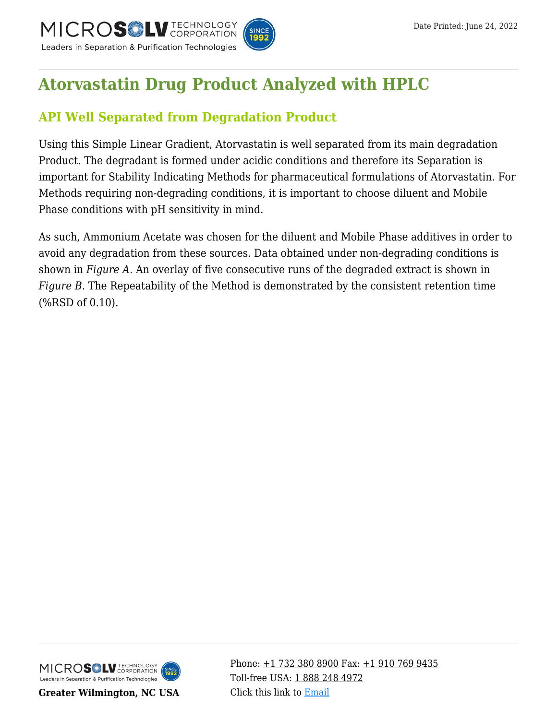

# **[Atorvastatin Drug Product Analyzed with HPLC](https://kb.mtc-usa.com/article/aa-00893/46/)**

# **API Well Separated from Degradation Product**

Using this Simple Linear Gradient, Atorvastatin is well separated from its main degradation Product. The degradant is formed under acidic conditions and therefore its Separation is important for Stability Indicating Methods for pharmaceutical formulations of Atorvastatin. For Methods requiring non-degrading conditions, it is important to choose diluent and Mobile Phase conditions with pH sensitivity in mind.

As such, Ammonium Acetate was chosen for the diluent and Mobile Phase additives in order to avoid any degradation from these sources. Data obtained under non-degrading conditions is shown in *Figure A*. An overlay of five consecutive runs of the degraded extract is shown in *Figure B*. The Repeatability of the Method is demonstrated by the consistent retention time (%RSD of 0.10).



**Greater Wilmington, NC USA**

Phone:  $\pm$ 1 732 380 8900 Fax:  $\pm$ 1 910 769 9435 Toll-free USA: [1 888 248 4972](#page--1-0) Click this link to [Email](https://www.mtc-usa.com/contact)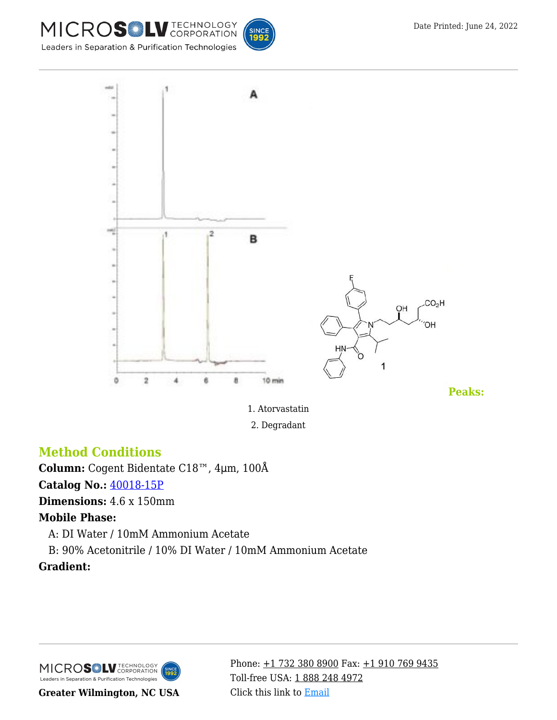



1. Atorvastatin 2. Degradant

## **Method Conditions**

**Column:** Cogent Bidentate C18™, 4μm, 100Å

### **Catalog No.:** [40018-15P](https://www.mtc-usa.com/product-details/id/4115199/catalog/40018-15p)

**Dimensions:** 4.6 x 150mm

#### **Mobile Phase:**

—A: DI Water / 10mM Ammonium Acetate

—B: 90% Acetonitrile / 10% DI Water / 10mM Ammonium Acetate

### **Gradient:**

MICROS<sup>OL</sup> LU TECHNOLOGY Leaders in Separation & Purification Technologies

**Greater Wilmington, NC USA**

Phone:  $\pm$ 1 732 380 8900 Fax:  $\pm$ 1 910 769 9435 Toll-free USA: [1 888 248 4972](#page--1-0) Click this link to [Email](https://www.mtc-usa.com/contact)